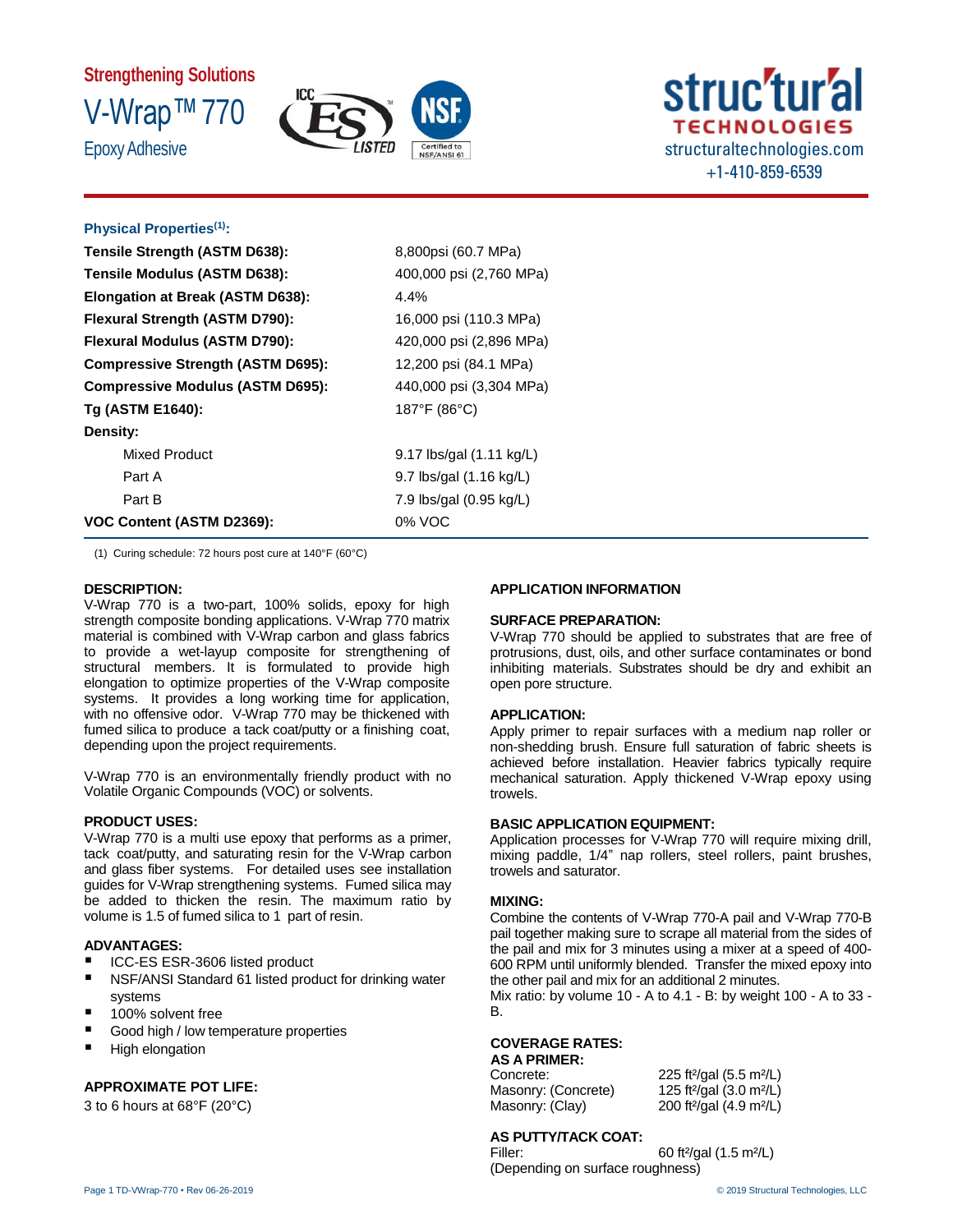# **Strengthening Solutions** V-Wrap™770 **Epoxy Adhesive**





# **Physical Properties(1):**

| Tensile Strength (ASTM D638):            | 8,800psi (60.7 MPa)               |
|------------------------------------------|-----------------------------------|
| Tensile Modulus (ASTM D638):             | 400,000 psi (2,760 MPa)           |
| Elongation at Break (ASTM D638):         | $4.4\%$                           |
| Flexural Strength (ASTM D790):           | 16,000 psi (110.3 MPa)            |
| Flexural Modulus (ASTM D790):            | 420,000 psi (2,896 MPa)           |
| <b>Compressive Strength (ASTM D695):</b> | 12,200 psi (84.1 MPa)             |
| <b>Compressive Modulus (ASTM D695):</b>  | 440,000 psi (3,304 MPa)           |
| Tg (ASTM E1640):                         | 187°F (86°C)                      |
| Density:                                 |                                   |
| <b>Mixed Product</b>                     | 9.17 lbs/gal (1.11 kg/L)          |
| Part A                                   | 9.7 lbs/gal $(1.16 \text{ kg/L})$ |
| Part B                                   | 7.9 lbs/gal (0.95 kg/L)           |
| VOC Content (ASTM D2369):                | 0% VOC                            |

(1) Curing schedule: 72 hours post cure at 140°F (60°C)

### **DESCRIPTION:**

V-Wrap 770 is a two-part, 100% solids, epoxy for high strength composite bonding applications. V-Wrap 770 matrix material is combined with V-Wrap carbon and glass fabrics to provide a wet-layup composite for strengthening of structural members. It is formulated to provide high elongation to optimize properties of the V-Wrap composite systems. It provides a long working time for application, with no offensive odor. V-Wrap 770 may be thickened with fumed silica to produce a tack coat/putty or a finishing coat, depending upon the project requirements.

V-Wrap 770 is an environmentally friendly product with no Volatile Organic Compounds (VOC) or solvents.

### **PRODUCT USES:**

V-Wrap 770 is a multi use epoxy that performs as a primer, tack coat/putty, and saturating resin for the V-Wrap carbon and glass fiber systems. For detailed uses see installation guides for V-Wrap strengthening systems. Fumed silica may be added to thicken the resin. The maximum ratio by volume is 1.5 of fumed silica to 1 part of resin.

# **ADVANTAGES:**

- ICC-ES ESR-3606 listed product
- NSF/ANSI Standard 61 listed product for drinking water systems
- 100% solvent free
- Good high / low temperature properties
- **High elongation**

# **APPROXIMATE POT LIFE:**

3 to 6 hours at 68°F (20°C)

# **APPLICATION INFORMATION**

# **SURFACE PREPARATION:**

V-Wrap 770 should be applied to substrates that are free of protrusions, dust, oils, and other surface contaminates or bond inhibiting materials. Substrates should be dry and exhibit an open pore structure.

### **APPLICATION:**

Apply primer to repair surfaces with a medium nap roller or non-shedding brush. Ensure full saturation of fabric sheets is achieved before installation. Heavier fabrics typically require mechanical saturation. Apply thickened V-Wrap epoxy using trowels.

### **BASIC APPLICATION EQUIPMENT:**

Application processes for V-Wrap 770 will require mixing drill, mixing paddle, 1/4" nap rollers, steel rollers, paint brushes, trowels and saturator.

### **MIXING:**

Combine the contents of V-Wrap 770-A pail and V-Wrap 770-B pail together making sure to scrape all material from the sides of the pail and mix for 3 minutes using a mixer at a speed of 400- 600 RPM until uniformly blended. Transfer the mixed epoxy into the other pail and mix for an additional 2 minutes.

Mix ratio: by volume 10 - A to 4.1 - B: by weight 100 - A to 33 - B.

# **COVERAGE RATES:**

### **AS A PRIMER:**

Masonry: (Concrete) 125 ft<sup>2</sup>/gal (3.0 m<sup>2</sup>/L) Masonry: (Clay) 200 ft²/gal (4.9 m²/L)

Concrete: 225 ft²/gal (5.5 m²/L)

# **AS PUTTY/TACK COAT:**

Filler: 60 ft²/gal (1.5 m²/L) (Depending on surface roughness)